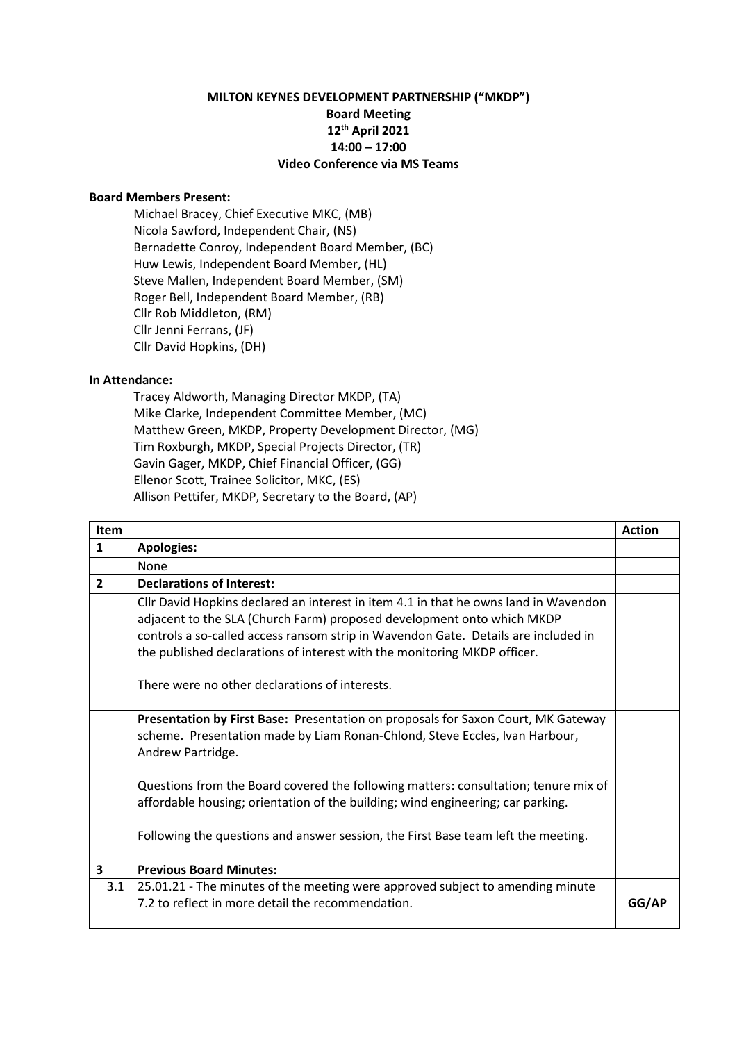## **MILTON KEYNES DEVELOPMENT PARTNERSHIP ("MKDP") Board Meeting 12th April 2021 14:00 – 17:00 Video Conference via MS Teams**

## **Board Members Present:**

Michael Bracey, Chief Executive MKC, (MB) Nicola Sawford, Independent Chair, (NS) Bernadette Conroy, Independent Board Member, (BC) Huw Lewis, Independent Board Member, (HL) Steve Mallen, Independent Board Member, (SM) Roger Bell, Independent Board Member, (RB) Cllr Rob Middleton, (RM) Cllr Jenni Ferrans, (JF) Cllr David Hopkins, (DH)

## **In Attendance:**

Tracey Aldworth, Managing Director MKDP, (TA) Mike Clarke, Independent Committee Member, (MC) Matthew Green, MKDP, Property Development Director, (MG) Tim Roxburgh, MKDP, Special Projects Director, (TR) Gavin Gager, MKDP, Chief Financial Officer, (GG) Ellenor Scott, Trainee Solicitor, MKC, (ES) Allison Pettifer, MKDP, Secretary to the Board, (AP)

| Item                    |                                                                                                                                                                                                                                                                                                                                  | <b>Action</b> |
|-------------------------|----------------------------------------------------------------------------------------------------------------------------------------------------------------------------------------------------------------------------------------------------------------------------------------------------------------------------------|---------------|
| $\mathbf{1}$            | <b>Apologies:</b>                                                                                                                                                                                                                                                                                                                |               |
|                         | None                                                                                                                                                                                                                                                                                                                             |               |
| $\overline{2}$          | <b>Declarations of Interest:</b>                                                                                                                                                                                                                                                                                                 |               |
|                         | Cllr David Hopkins declared an interest in item 4.1 in that he owns land in Wavendon<br>adjacent to the SLA (Church Farm) proposed development onto which MKDP<br>controls a so-called access ransom strip in Wavendon Gate. Details are included in<br>the published declarations of interest with the monitoring MKDP officer. |               |
|                         | There were no other declarations of interests.                                                                                                                                                                                                                                                                                   |               |
|                         | Presentation by First Base: Presentation on proposals for Saxon Court, MK Gateway<br>scheme. Presentation made by Liam Ronan-Chlond, Steve Eccles, Ivan Harbour,<br>Andrew Partridge.                                                                                                                                            |               |
|                         | Questions from the Board covered the following matters: consultation; tenure mix of<br>affordable housing; orientation of the building; wind engineering; car parking.                                                                                                                                                           |               |
|                         | Following the questions and answer session, the First Base team left the meeting.                                                                                                                                                                                                                                                |               |
| $\overline{\mathbf{3}}$ | <b>Previous Board Minutes:</b>                                                                                                                                                                                                                                                                                                   |               |
| 3.1                     | 25.01.21 - The minutes of the meeting were approved subject to amending minute                                                                                                                                                                                                                                                   |               |
|                         | 7.2 to reflect in more detail the recommendation.                                                                                                                                                                                                                                                                                | GG/AP         |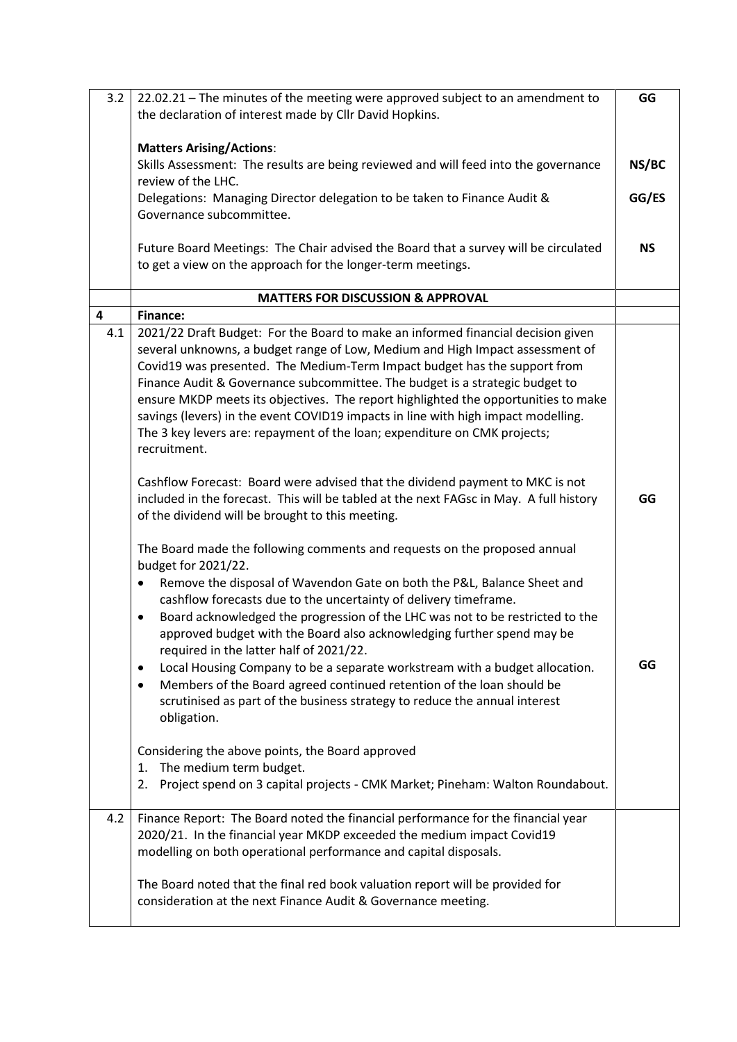| 3.2                     | 22.02.21 - The minutes of the meeting were approved subject to an amendment to             | GG        |
|-------------------------|--------------------------------------------------------------------------------------------|-----------|
|                         | the declaration of interest made by Cllr David Hopkins.                                    |           |
|                         |                                                                                            |           |
|                         | <b>Matters Arising/Actions:</b>                                                            |           |
|                         | Skills Assessment: The results are being reviewed and will feed into the governance        | NS/BC     |
|                         | review of the LHC.                                                                         |           |
|                         | Delegations: Managing Director delegation to be taken to Finance Audit &                   | GG/ES     |
|                         | Governance subcommittee.                                                                   |           |
|                         |                                                                                            |           |
|                         | Future Board Meetings: The Chair advised the Board that a survey will be circulated        | <b>NS</b> |
|                         | to get a view on the approach for the longer-term meetings.                                |           |
|                         |                                                                                            |           |
|                         | <b>MATTERS FOR DISCUSSION &amp; APPROVAL</b>                                               |           |
| $\overline{\mathbf{4}}$ | <b>Finance:</b>                                                                            |           |
| 4.1                     | 2021/22 Draft Budget: For the Board to make an informed financial decision given           |           |
|                         | several unknowns, a budget range of Low, Medium and High Impact assessment of              |           |
|                         | Covid19 was presented. The Medium-Term Impact budget has the support from                  |           |
|                         | Finance Audit & Governance subcommittee. The budget is a strategic budget to               |           |
|                         | ensure MKDP meets its objectives. The report highlighted the opportunities to make         |           |
|                         | savings (levers) in the event COVID19 impacts in line with high impact modelling.          |           |
|                         | The 3 key levers are: repayment of the loan; expenditure on CMK projects;                  |           |
|                         | recruitment.                                                                               |           |
|                         |                                                                                            |           |
|                         | Cashflow Forecast: Board were advised that the dividend payment to MKC is not              |           |
|                         | included in the forecast. This will be tabled at the next FAGsc in May. A full history     | GG        |
|                         | of the dividend will be brought to this meeting.                                           |           |
|                         |                                                                                            |           |
|                         | The Board made the following comments and requests on the proposed annual                  |           |
|                         | budget for 2021/22.                                                                        |           |
|                         | Remove the disposal of Wavendon Gate on both the P&L, Balance Sheet and<br>$\bullet$       |           |
|                         | cashflow forecasts due to the uncertainty of delivery timeframe.                           |           |
|                         | Board acknowledged the progression of the LHC was not to be restricted to the<br>$\bullet$ |           |
|                         | approved budget with the Board also acknowledging further spend may be                     |           |
|                         | required in the latter half of 2021/22.                                                    |           |
|                         | Local Housing Company to be a separate workstream with a budget allocation.<br>٠           | GG        |
|                         | Members of the Board agreed continued retention of the loan should be                      |           |
|                         | scrutinised as part of the business strategy to reduce the annual interest                 |           |
|                         | obligation.                                                                                |           |
|                         |                                                                                            |           |
|                         | Considering the above points, the Board approved                                           |           |
|                         | The medium term budget.<br>1.                                                              |           |
|                         | Project spend on 3 capital projects - CMK Market; Pineham: Walton Roundabout.<br>2.        |           |
|                         |                                                                                            |           |
| 4.2                     | Finance Report: The Board noted the financial performance for the financial year           |           |
|                         | 2020/21. In the financial year MKDP exceeded the medium impact Covid19                     |           |
|                         | modelling on both operational performance and capital disposals.                           |           |
|                         |                                                                                            |           |
|                         | The Board noted that the final red book valuation report will be provided for              |           |
|                         | consideration at the next Finance Audit & Governance meeting.                              |           |
|                         |                                                                                            |           |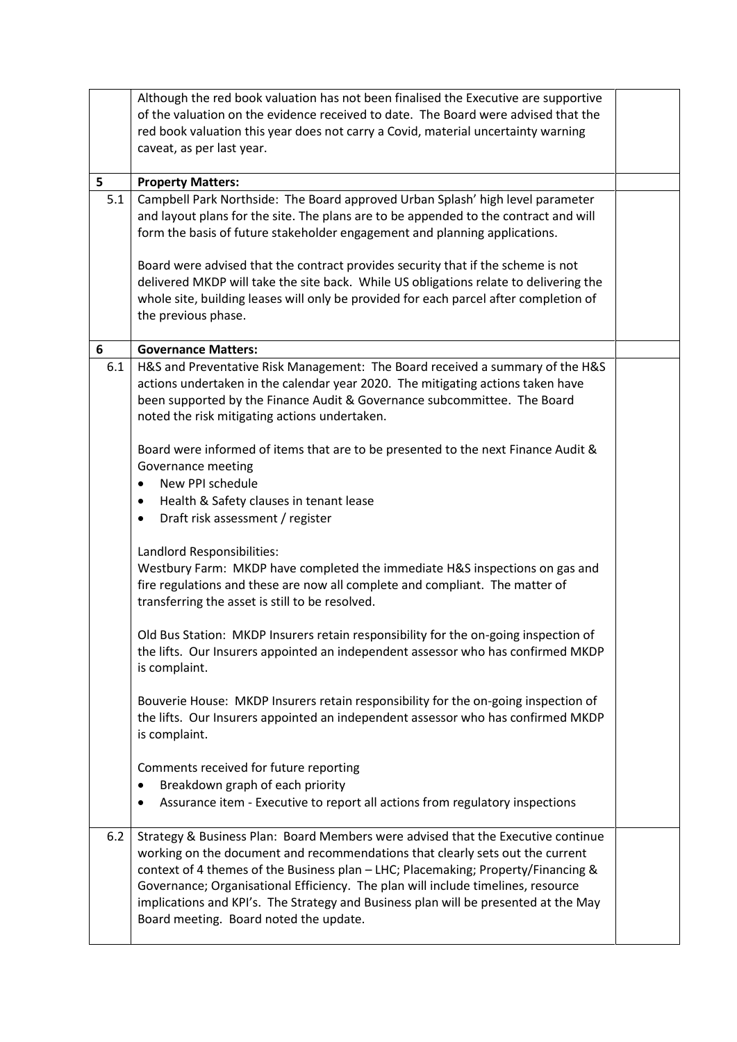|     | Although the red book valuation has not been finalised the Executive are supportive   |  |
|-----|---------------------------------------------------------------------------------------|--|
|     | of the valuation on the evidence received to date. The Board were advised that the    |  |
|     | red book valuation this year does not carry a Covid, material uncertainty warning     |  |
|     | caveat, as per last year.                                                             |  |
| 5   | <b>Property Matters:</b>                                                              |  |
| 5.1 | Campbell Park Northside: The Board approved Urban Splash' high level parameter        |  |
|     | and layout plans for the site. The plans are to be appended to the contract and will  |  |
|     | form the basis of future stakeholder engagement and planning applications.            |  |
|     |                                                                                       |  |
|     | Board were advised that the contract provides security that if the scheme is not      |  |
|     | delivered MKDP will take the site back. While US obligations relate to delivering the |  |
|     | whole site, building leases will only be provided for each parcel after completion of |  |
|     | the previous phase.                                                                   |  |
| 6   | <b>Governance Matters:</b>                                                            |  |
| 6.1 | H&S and Preventative Risk Management: The Board received a summary of the H&S         |  |
|     | actions undertaken in the calendar year 2020. The mitigating actions taken have       |  |
|     | been supported by the Finance Audit & Governance subcommittee. The Board              |  |
|     | noted the risk mitigating actions undertaken.                                         |  |
|     |                                                                                       |  |
|     | Board were informed of items that are to be presented to the next Finance Audit &     |  |
|     | Governance meeting                                                                    |  |
|     | New PPI schedule                                                                      |  |
|     | Health & Safety clauses in tenant lease<br>٠                                          |  |
|     | Draft risk assessment / register<br>$\bullet$                                         |  |
|     | Landlord Responsibilities:                                                            |  |
|     | Westbury Farm: MKDP have completed the immediate H&S inspections on gas and           |  |
|     | fire regulations and these are now all complete and compliant. The matter of          |  |
|     | transferring the asset is still to be resolved.                                       |  |
|     |                                                                                       |  |
|     | Old Bus Station: MKDP Insurers retain responsibility for the on-going inspection of   |  |
|     | the lifts. Our Insurers appointed an independent assessor who has confirmed MKDP      |  |
|     | is complaint.                                                                         |  |
|     | Bouverie House: MKDP Insurers retain responsibility for the on-going inspection of    |  |
|     | the lifts. Our Insurers appointed an independent assessor who has confirmed MKDP      |  |
|     | is complaint.                                                                         |  |
|     |                                                                                       |  |
|     | Comments received for future reporting                                                |  |
|     | Breakdown graph of each priority<br>$\bullet$                                         |  |
|     | Assurance item - Executive to report all actions from regulatory inspections          |  |
| 6.2 | Strategy & Business Plan: Board Members were advised that the Executive continue      |  |
|     | working on the document and recommendations that clearly sets out the current         |  |
|     | context of 4 themes of the Business plan - LHC; Placemaking; Property/Financing &     |  |
|     | Governance; Organisational Efficiency. The plan will include timelines, resource      |  |
|     | implications and KPI's. The Strategy and Business plan will be presented at the May   |  |
|     | Board meeting. Board noted the update.                                                |  |
|     |                                                                                       |  |